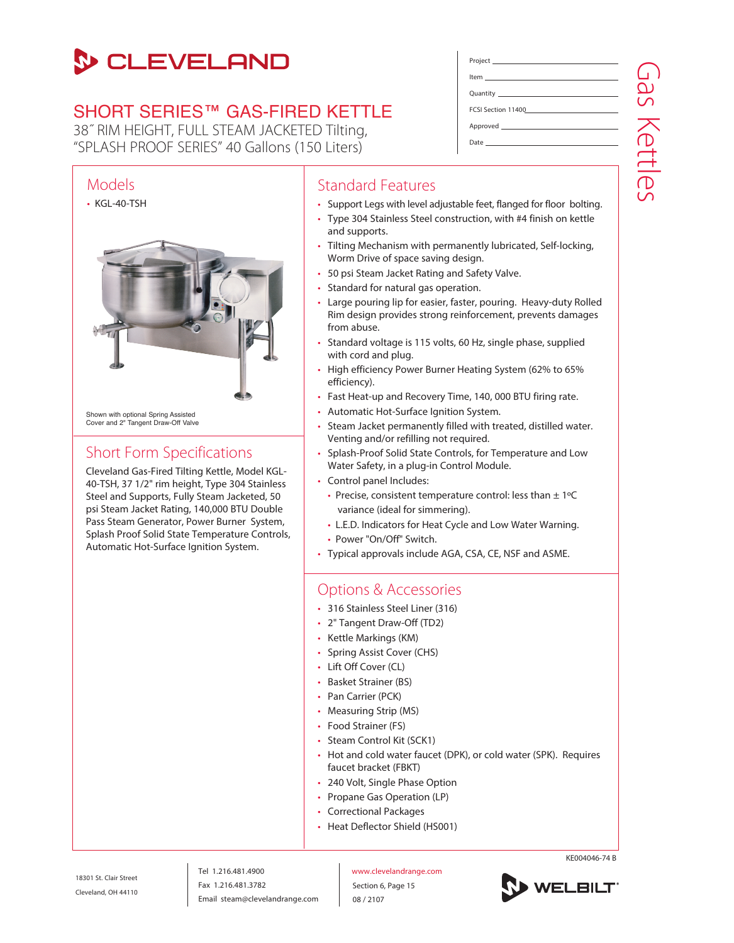# **S** CLEVELAND

## SHORT SERIES™ GAS-FIRED KETTLE

38˝ RIM HEIGHT, FULL STEAM JACKETED Tilting, "SPLASH PROOF SERIES" 40 Gallons (150 Liters)



### Short Form Specifications

Cleveland Gas-Fired Tilting Kettle, Model KGL-40-TSH, 37 1/2" rim height, Type 304 Stainless Steel and Supports, Fully Steam Jacketed, 50 psi Steam Jacket Rating, 140,000 BTU Double Pass Steam Generator, Power Burner System, Splash Proof Solid State Temperature Controls, Automatic Hot-Surface Ignition System.

| <u>ltem ________________________________</u> |                                                     |
|----------------------------------------------|-----------------------------------------------------|
|                                              | 9<br>S                                              |
| FCSI Section 11400                           |                                                     |
|                                              |                                                     |
|                                              | D.                                                  |
|                                              | $\overline{\phantom{0}}$<br>$\overline{\mathbb{R}}$ |
|                                              | (D                                                  |
|                                              | $\overline{C}$                                      |

### Standard Features

- Support Legs with level adjustable feet, flanged for floor bolting.
- Type 304 Stainless Steel construction, with #4 finish on kettle and supports.
- Tilting Mechanism with permanently lubricated, Self-locking, Worm Drive of space saving design.
- 50 psi Steam Jacket Rating and Safety Valve.
- Standard for natural gas operation.
- Large pouring lip for easier, faster, pouring. Heavy-duty Rolled Rim design provides strong reinforcement, prevents damages from abuse.
- Standard voltage is 115 volts, 60 Hz, single phase, supplied with cord and plug.
- High efficiency Power Burner Heating System (62% to 65% efficiency).
- Fast Heat-up and Recovery Time, 140, 000 BTU firing rate.
- Automatic Hot-Surface Ignition System.
- Steam Jacket permanently filled with treated, distilled water. Venting and/or refilling not required.
- Splash-Proof Solid State Controls, for Temperature and Low Water Safety, in a plug-in Control Module.
- Control panel Includes:
	- Precise, consistent temperature control: less than  $\pm$  1°C variance (ideal for simmering).
	- L.E.D. Indicators for Heat Cycle and Low Water Warning.
	- Power "On/Off" Switch.
- Typical approvals include AGA, CSA, CE, NSF and ASME.

#### Options & Accessories

- 316 Stainless Steel Liner (316)
- 2" Tangent Draw-Off (TD2)
- Kettle Markings (KM)
- Spring Assist Cover (CHS)
- Lift Off Cover (CL)
- Basket Strainer (BS)
- Pan Carrier (PCK)
- Measuring Strip (MS)
- Food Strainer (FS)
- Steam Control Kit (SCK1)
- Hot and cold water faucet (DPK), or cold water (SPK). Requires faucet bracket (FBKT)
- 240 Volt, Single Phase Option
- Propane Gas Operation (LP)
- Correctional Packages
- Heat Deflector Shield (HS001)

18301 St. Clair Street Cleveland, OH 44110

Tel 1.216.481.4900 Fax 1.216.481.3782 Email steam@clevelandrange.com www.clevelandrange.com Section 6, Page 15 08 / 2107